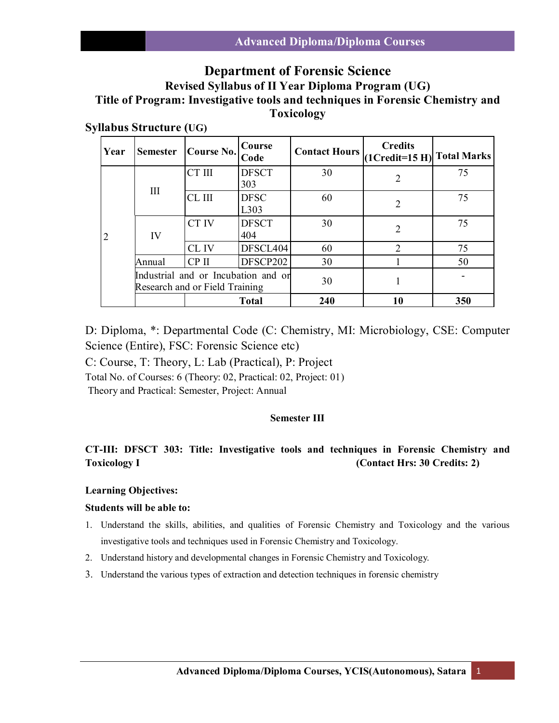# **Department of Forensic Science**

# **Revised Syllabus of II Year Diploma Program (UG) Title of Program: Investigative tools and techniques in Forensic Chemistry and Toxicology**

# **Syllabus Structure (UG)**

| Year | <b>Semester</b>                                                       | Course No. | Course<br>Code      | <b>Contact Hours</b> | <b>Credits</b><br>$(1Credit=15 H)$ Total Marks |    |
|------|-----------------------------------------------------------------------|------------|---------------------|----------------------|------------------------------------------------|----|
| 2    | Ш                                                                     | CT III     | <b>DFSCT</b><br>303 | 30                   | 2                                              | 75 |
|      |                                                                       | CL III     | <b>DFSC</b><br>L303 | 60                   | $\overline{2}$                                 | 75 |
|      | IV                                                                    | CT IV      | <b>DFSCT</b><br>404 | 30                   | 2                                              | 75 |
|      |                                                                       | CL IV      | DFSCL404            | 60                   | $\mathcal{D}_{\mathcal{L}}$                    | 75 |
|      | Annual                                                                | CP II      | DFSCP202            | 30                   |                                                | 50 |
|      | Industrial and or Incubation and or<br>Research and or Field Training |            |                     | 30                   |                                                |    |
|      | <b>Total</b>                                                          |            | 240                 | 10                   | 350                                            |    |

D: Diploma, \*: Departmental Code (C: Chemistry, MI: Microbiology, CSE: Computer Science (Entire), FSC: Forensic Science etc)

C: Course, T: Theory, L: Lab (Practical), P: Project

Total No. of Courses: 6 (Theory: 02, Practical: 02, Project: 01)

Theory and Practical: Semester, Project: Annual

# **Semester III**

# **CT-III: DFSCT 303: Title: Investigative tools and techniques in Forensic Chemistry and Toxicology I** (Contact Hrs: 30 Credits: 2)

## **Learning Objectives:**

## **Students will be able to:**

- 1. Understand the skills, abilities, and qualities of Forensic Chemistry and Toxicology and the various investigative tools and techniques used in Forensic Chemistry and Toxicology.
- 2. Understand history and developmental changes in Forensic Chemistry and Toxicology.
- 3. Understand the various types of extraction and detection techniques in forensic chemistry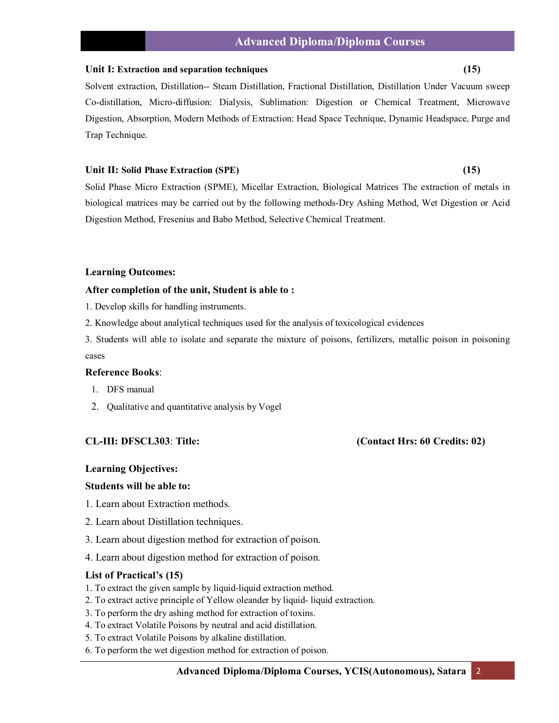#### **Unit I: Extraction and separation techniques (15)**

Solvent extraction, Distillation-- Steam Distillation, Fractional Distillation, Distillation Under Vacuum sweep Co-distillation, Micro-diffusion: Dialysis, Sublimation: Digestion or Chemical Treatment, Microwave Digestion, Absorption, Modern Methods of Extraction: Head Space Technique, Dynamic Headspace, Purge and Trap Technique.

## **Unit II: Solid Phase Extraction (SPE) (15)**

Solid Phase Micro Extraction (SPME), Micellar Extraction, Biological Matrices The extraction of metals in biological matrices may be carried out by the following methods-Dry Ashing Method, Wet Digestion or Acid Digestion Method, Fresenius and Babo Method, Selective Chemical Treatment.

## **Learning Outcomes:**

## **After completion of the unit, Student is able to :**

1. Develop skills for handling instruments.

2. Knowledge about analytical techniques used for the analysis of toxicological evidences

3. Students will able to isolate and separate the mixture of poisons, fertilizers, metallic poison in poisoning cases

# **Reference Books**:

- 1. DFS manual
- 2. Qualitative and quantitative analysis by Vogel

# **CL-III: DFSCL303**: **Title: (Contact Hrs: 60 Credits: 02)**

## **Learning Objectives:**

## **Students will be able to:**

- 1. Learn about Extraction methods.
- 2. Learn about Distillation techniques.
- 3. Learn about digestion method for extraction of poison.
- 4. Learn about digestion method for extraction of poison.

#### **List of Practical's (15)**

- 1. To extract the given sample by liquid-liquid extraction method.
- 2. To extract active principle of Yellow oleander by liquid- liquid extraction.
- 3. To perform the dry ashing method for extraction of toxins.
- 4. To extract Volatile Poisons by neutral and acid distillation.
- 5. To extract Volatile Poisons by alkaline distillation.
- 6. To perform the wet digestion method for extraction of poison.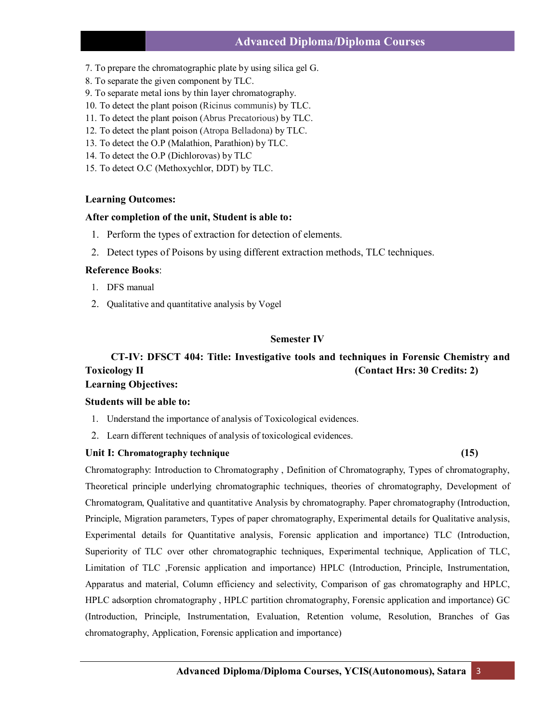# **Advanced Diploma/Diploma Courses**

- 7. To prepare the chromatographic plate by using silica gel G.
- 8. To separate the given component by TLC.
- 9. To separate metal ions by thin layer chromatography.
- 10. To detect the plant poison (Ricinus communis) by TLC.
- 11. To detect the plant poison (Abrus Precatorious) by TLC.
- 12. To detect the plant poison (Atropa Belladona) by TLC.
- 13. To detect the O.P (Malathion, Parathion) by TLC.
- 14. To detect the O.P (Dichlorovas) by TLC
- 15. To detect O.C (Methoxychlor, DDT) by TLC.

## **Learning Outcomes:**

## **After completion of the unit, Student is able to:**

- 1. Perform the types of extraction for detection of elements.
- 2. Detect types of Poisons by using different extraction methods, TLC techniques.

#### **Reference Books**:

- 1. DFS manual
- 2. Qualitative and quantitative analysis by Vogel

# **Semester IV**

# **CT-IV: DFSCT 404: Title: Investigative tools and techniques in Forensic Chemistry and Toxicology II (Contact Hrs: 30 Credits: 2) Learning Objectives:**

#### **Students will be able to:**

- 1. Understand the importance of analysis of Toxicological evidences.
- 2. Learn different techniques of analysis of toxicological evidences.

## **Unit I: Chromatography technique (15)**

Chromatography: Introduction to Chromatography , Definition of Chromatography, Types of chromatography, Theoretical principle underlying chromatographic techniques, theories of chromatography, Development of Chromatogram, Qualitative and quantitative Analysis by chromatography. Paper chromatography (Introduction, Principle, Migration parameters, Types of paper chromatography, Experimental details for Qualitative analysis, Experimental details for Quantitative analysis, Forensic application and importance) TLC (Introduction, Superiority of TLC over other chromatographic techniques, Experimental technique, Application of TLC, Limitation of TLC ,Forensic application and importance) HPLC (Introduction, Principle, Instrumentation, Apparatus and material, Column efficiency and selectivity, Comparison of gas chromatography and HPLC, HPLC adsorption chromatography , HPLC partition chromatography, Forensic application and importance) GC (Introduction, Principle, Instrumentation, Evaluation, Retention volume, Resolution, Branches of Gas chromatography, Application, Forensic application and importance)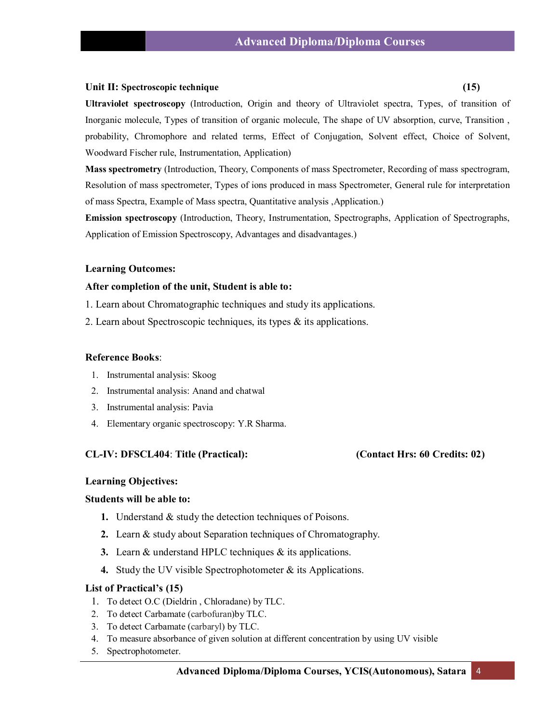# **Unit II: Spectroscopic technique (15)**

**Ultraviolet spectroscopy** (Introduction, Origin and theory of Ultraviolet spectra, Types, of transition of Inorganic molecule, Types of transition of organic molecule, The shape of UV absorption, curve, Transition , probability, Chromophore and related terms, Effect of Conjugation, Solvent effect, Choice of Solvent, Woodward Fischer rule, Instrumentation, Application)

**Mass spectrometry** (Introduction, Theory, Components of mass Spectrometer, Recording of mass spectrogram, Resolution of mass spectrometer, Types of ions produced in mass Spectrometer, General rule for interpretation of mass Spectra, Example of Mass spectra, Quantitative analysis ,Application.)

**Emission spectroscopy** (Introduction, Theory, Instrumentation, Spectrographs, Application of Spectrographs, Application of Emission Spectroscopy, Advantages and disadvantages.)

## **Learning Outcomes:**

## **After completion of the unit, Student is able to:**

- 1. Learn about Chromatographic techniques and study its applications.
- 2. Learn about Spectroscopic techniques, its types & its applications.

## **Reference Books**:

- 1. Instrumental analysis: Skoog
- 2. Instrumental analysis: Anand and chatwal
- 3. Instrumental analysis: Pavia
- 4. Elementary organic spectroscopy: Y.R Sharma.

## **CL-IV: DFSCL404**: **Title (Practical): (Contact Hrs: 60 Credits: 02)**

## **Learning Objectives:**

## **Students will be able to:**

- **1.** Understand & study the detection techniques of Poisons.
- **2.** Learn & study about Separation techniques of Chromatography.
- **3.** Learn & understand HPLC techniques & its applications.
- **4.** Study the UV visible Spectrophotometer & its Applications.

#### **List of Practical's (15)**

- 1. To detect O.C (Dieldrin , Chloradane) by TLC.
- 2. To detect Carbamate (carbofuran)by TLC.
- 3. To detect Carbamate (carbaryl) by TLC.
- 4. To measure absorbance of given solution at different concentration by using UV visible
- 5. Spectrophotometer.